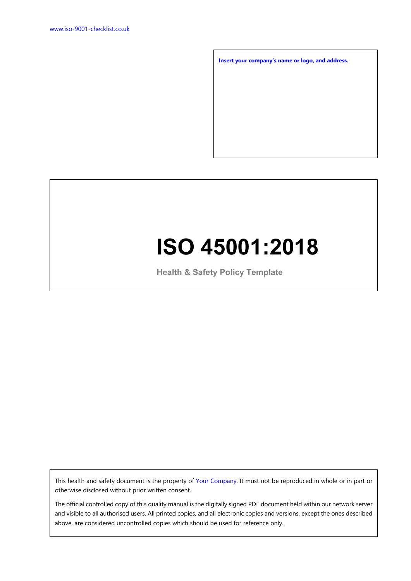**Insert your company's name or logo, and address.**

# **ISO 45001:2018**

**Health & Safety Policy Template**

This health and safety document is the property of Your Company. It must not be reproduced in whole or in part or otherwise disclosed without prior written consent.

The official controlled copy of this quality manual is the digitally signed PDF document held within our network server and visible to all authorised users. All printed copies, and all electronic copies and versions, except the ones described above, are considered uncontrolled copies which should be used for reference only.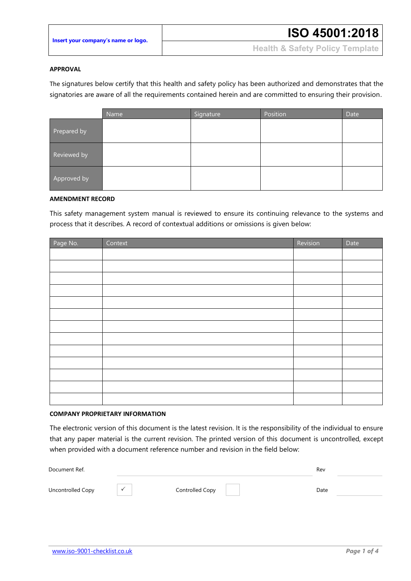|  |  |  | Insert your company's name or logo. |  |
|--|--|--|-------------------------------------|--|
|  |  |  |                                     |  |

**Health & Safety Policy Template**

### **APPROVAL**

The signatures below certify that this health and safety policy has been authorized and demonstrates that the signatories are aware of all the requirements contained herein and are committed to ensuring their provision.

|             | Name | Signature | Position | Date |
|-------------|------|-----------|----------|------|
| Prepared by |      |           |          |      |
| Reviewed by |      |           |          |      |
| Approved by |      |           |          |      |

#### **AMENDMENT RECORD**

This safety management system manual is reviewed to ensure its continuing relevance to the systems and process that it describes. A record of contextual additions or omissions is given below:

| Page No. | Context | Revision | Date |
|----------|---------|----------|------|
|          |         |          |      |
|          |         |          |      |
|          |         |          |      |
|          |         |          |      |
|          |         |          |      |
|          |         |          |      |
|          |         |          |      |
|          |         |          |      |
|          |         |          |      |
|          |         |          |      |
|          |         |          |      |
|          |         |          |      |
|          |         |          |      |

### **COMPANY PROPRIETARY INFORMATION**

The electronic version of this document is the latest revision. It is the responsibility of the individual to ensure that any paper material is the current revision. The printed version of this document is uncontrolled, except when provided with a document reference number and revision in the field below:

| Document Ref.     |                      |                 | Rev  |  |
|-------------------|----------------------|-----------------|------|--|
| Uncontrolled Copy | $\ddot{\phantom{1}}$ | Controlled Copy | Date |  |